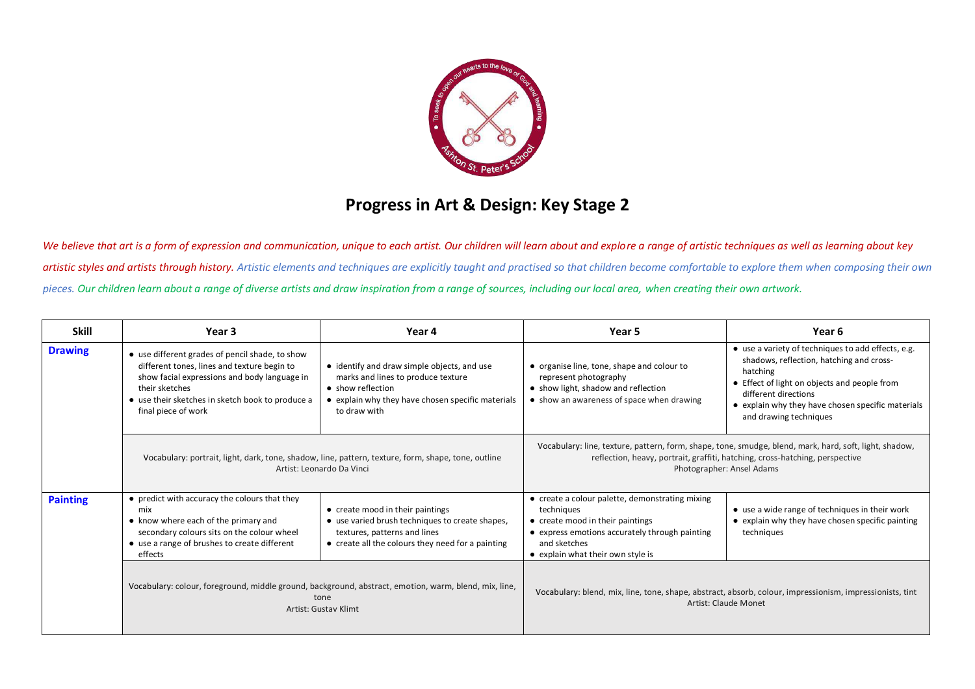

## **Progress in Art & Design: Key Stage 2**

We believe that art is a form of expression and communication, unique to each artist. Our children will learn about and explore a range of artistic techniques as well as learning about key artistic styles and artists through history. Artistic elements and techniques are explicitly taught and practised so that children become comfortable to explore them when composing their own *pieces. Our children learn about a range of diverse artists and draw inspiration from a range of sources, including our local area, when creating their own artwork.*

| <b>Skill</b>    | Year 3                                                                                                                                                                                                                                      | Year 4                                                                                                                                                                      | Year 5                                                                                                                                                                                                              | Year 6                                                                                                                                                                                                                                                            |
|-----------------|---------------------------------------------------------------------------------------------------------------------------------------------------------------------------------------------------------------------------------------------|-----------------------------------------------------------------------------------------------------------------------------------------------------------------------------|---------------------------------------------------------------------------------------------------------------------------------------------------------------------------------------------------------------------|-------------------------------------------------------------------------------------------------------------------------------------------------------------------------------------------------------------------------------------------------------------------|
| <b>Drawing</b>  | • use different grades of pencil shade, to show<br>different tones, lines and texture begin to<br>show facial expressions and body language in<br>their sketches<br>• use their sketches in sketch book to produce a<br>final piece of work | • identify and draw simple objects, and use<br>marks and lines to produce texture<br>• show reflection<br>• explain why they have chosen specific materials<br>to draw with | • organise line, tone, shape and colour to<br>represent photography<br>• show light, shadow and reflection<br>• show an awareness of space when drawing                                                             | • use a variety of techniques to add effects, e.g.<br>shadows, reflection, hatching and cross-<br>hatching<br>• Effect of light on objects and people from<br>different directions<br>• explain why they have chosen specific materials<br>and drawing techniques |
|                 | Vocabulary: portrait, light, dark, tone, shadow, line, pattern, texture, form, shape, tone, outline<br>Artist: Leonardo Da Vinci                                                                                                            |                                                                                                                                                                             | Vocabulary: line, texture, pattern, form, shape, tone, smudge, blend, mark, hard, soft, light, shadow,<br>reflection, heavy, portrait, graffiti, hatching, cross-hatching, perspective<br>Photographer: Ansel Adams |                                                                                                                                                                                                                                                                   |
| <b>Painting</b> | • predict with accuracy the colours that they<br>mix<br>• know where each of the primary and<br>secondary colours sits on the colour wheel<br>• use a range of brushes to create different<br>effects                                       | • create mood in their paintings<br>• use varied brush techniques to create shapes,<br>textures, patterns and lines<br>• create all the colours they need for a painting    | • create a colour palette, demonstrating mixing<br>techniques<br>• create mood in their paintings<br>• express emotions accurately through painting<br>and sketches<br>• explain what their own style is            | • use a wide range of techniques in their work<br>• explain why they have chosen specific painting<br>techniques                                                                                                                                                  |
|                 | Vocabulary: colour, foreground, middle ground, background, abstract, emotion, warm, blend, mix, line,<br>tone<br><b>Artist: Gustav Klimt</b>                                                                                                |                                                                                                                                                                             | Vocabulary: blend, mix, line, tone, shape, abstract, absorb, colour, impressionism, impressionists, tint<br><b>Artist: Claude Monet</b>                                                                             |                                                                                                                                                                                                                                                                   |